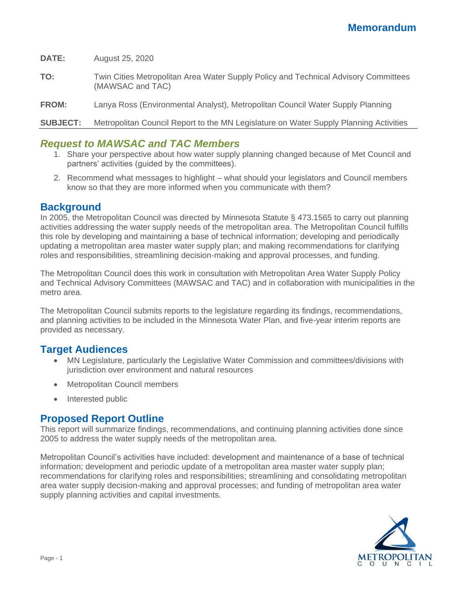**DATE:** August 25, 2020

**TO:** Twin Cities Metropolitan Area Water Supply Policy and Technical Advisory Committees (MAWSAC and TAC)

**FROM:** Lanya Ross (Environmental Analyst), Metropolitan Council Water Supply Planning

**SUBJECT:** Metropolitan Council Report to the MN Legislature on Water Supply Planning Activities

## *Request to MAWSAC and TAC Members*

- 1. Share your perspective about how water supply planning changed because of Met Council and partners' activities (guided by the committees).
- 2. Recommend what messages to highlight what should your legislators and Council members know so that they are more informed when you communicate with them?

## **Background**

In 2005, the Metropolitan Council was directed by Minnesota Statute § 473.1565 to carry out planning activities addressing the water supply needs of the metropolitan area. The Metropolitan Council fulfills this role by developing and maintaining a base of technical information; developing and periodically updating a metropolitan area master water supply plan; and making recommendations for clarifying roles and responsibilities, streamlining decision-making and approval processes, and funding.

The Metropolitan Council does this work in consultation with Metropolitan Area Water Supply Policy and Technical Advisory Committees (MAWSAC and TAC) and in collaboration with municipalities in the metro area.

The Metropolitan Council submits reports to the legislature regarding its findings, recommendations, and planning activities to be included in the Minnesota Water Plan, and five-year interim reports are provided as necessary.

## **Target Audiences**

- MN Legislature, particularly the Legislative Water Commission and committees/divisions with jurisdiction over environment and natural resources
- Metropolitan Council members
- Interested public

## **Proposed Report Outline**

This report will summarize findings, recommendations, and continuing planning activities done since 2005 to address the water supply needs of the metropolitan area.

Metropolitan Council's activities have included: development and maintenance of a base of technical information; development and periodic update of a metropolitan area master water supply plan; recommendations for clarifying roles and responsibilities; streamlining and consolidating metropolitan area water supply decision-making and approval processes; and funding of metropolitan area water supply planning activities and capital investments.